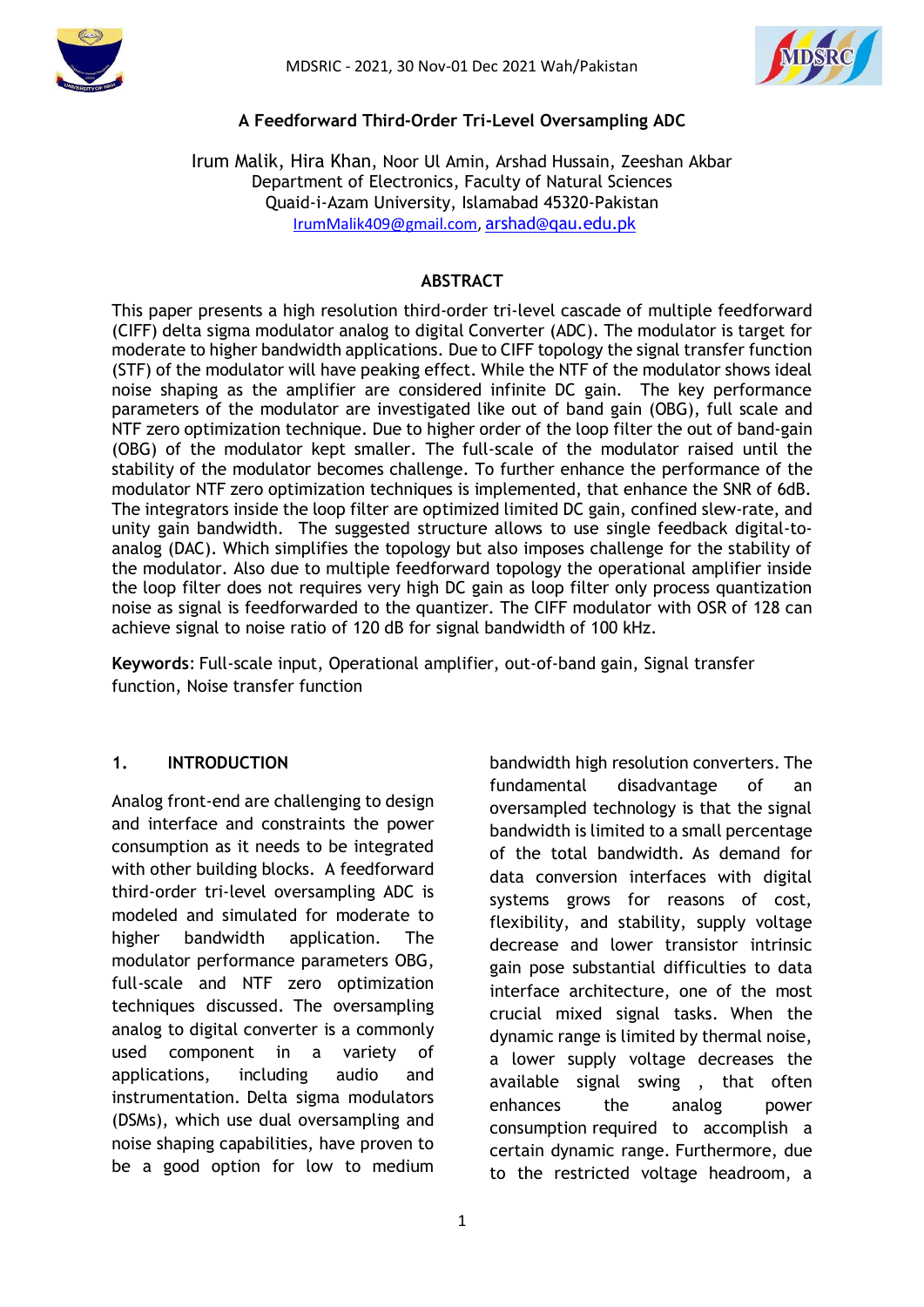



#### **A Feedforward Third-Order Tri-Level Oversampling ADC**

Irum Malik, Hira Khan, Noor Ul Amin, Arshad Hussain, Zeeshan Akbar Department of Electronics, Faculty of Natural Sciences Quaid-i-Azam University, Islamabad 45320-Pakistan [IrumMalik409@gmail.com,](mailto:%20m.ahmad.qau@gmail.com) [arshad@qau.edu.pk](mailto:arshad@qau.edu.pk)

### **ABSTRACT**

This paper presents a high resolution third-order tri-level cascade of multiple feedforward (CIFF) delta sigma modulator analog to digital Converter (ADC). The modulator is target for moderate to higher bandwidth applications. Due to CIFF topology the signal transfer function (STF) of the modulator will have peaking effect. While the NTF of the modulator shows ideal noise shaping as the amplifier are considered infinite DC gain. The key performance parameters of the modulator are investigated like out of band gain (OBG), full scale and NTF zero optimization technique. Due to higher order of the loop filter the out of band-gain (OBG) of the modulator kept smaller. The full-scale of the modulator raised until the stability of the modulator becomes challenge. To further enhance the performance of the modulator NTF zero optimization techniques is implemented, that enhance the SNR of 6dB. The integrators inside the loop filter are optimized limited DC gain, confined slew-rate, and unity gain bandwidth. The suggested structure allows to use single feedback digital-toanalog (DAC). Which simplifies the topology but also imposes challenge for the stability of the modulator. Also due to multiple feedforward topology the operational amplifier inside the loop filter does not requires very high DC gain as loop filter only process quantization noise as signal is feedforwarded to the quantizer. The CIFF modulator with OSR of 128 can achieve signal to noise ratio of 120 dB for signal bandwidth of 100 kHz.

**Keywords**: Full-scale input, Operational amplifier, out-of-band gain, Signal transfer function, Noise transfer function

#### **1. INTRODUCTION**

Analog front-end are challenging to design and interface and constraints the power consumption as it needs to be integrated with other building blocks. A feedforward third-order tri-level oversampling ADC is modeled and simulated for moderate to higher bandwidth application. The modulator performance parameters OBG, full-scale and NTF zero optimization techniques discussed. The oversampling analog to digital converter is a commonly used component in a variety of applications, including audio and instrumentation. Delta sigma modulators (DSMs), which use dual oversampling and noise shaping capabilities, have proven to be a good option for low to medium bandwidth high resolution converters. The fundamental disadvantage of an oversampled technology is that the signal bandwidth is limited to a small percentage of the total bandwidth. As demand for data conversion interfaces with digital systems grows for reasons of cost, flexibility, and stability, supply voltage decrease and lower transistor intrinsic gain pose substantial difficulties to data interface architecture, one of the most crucial mixed signal tasks. When the dynamic range is limited by thermal noise, a lower supply voltage decreases the available signal swing , that often enhances the analog power consumption required to accomplish a certain dynamic range. Furthermore, due to the restricted voltage headroom, a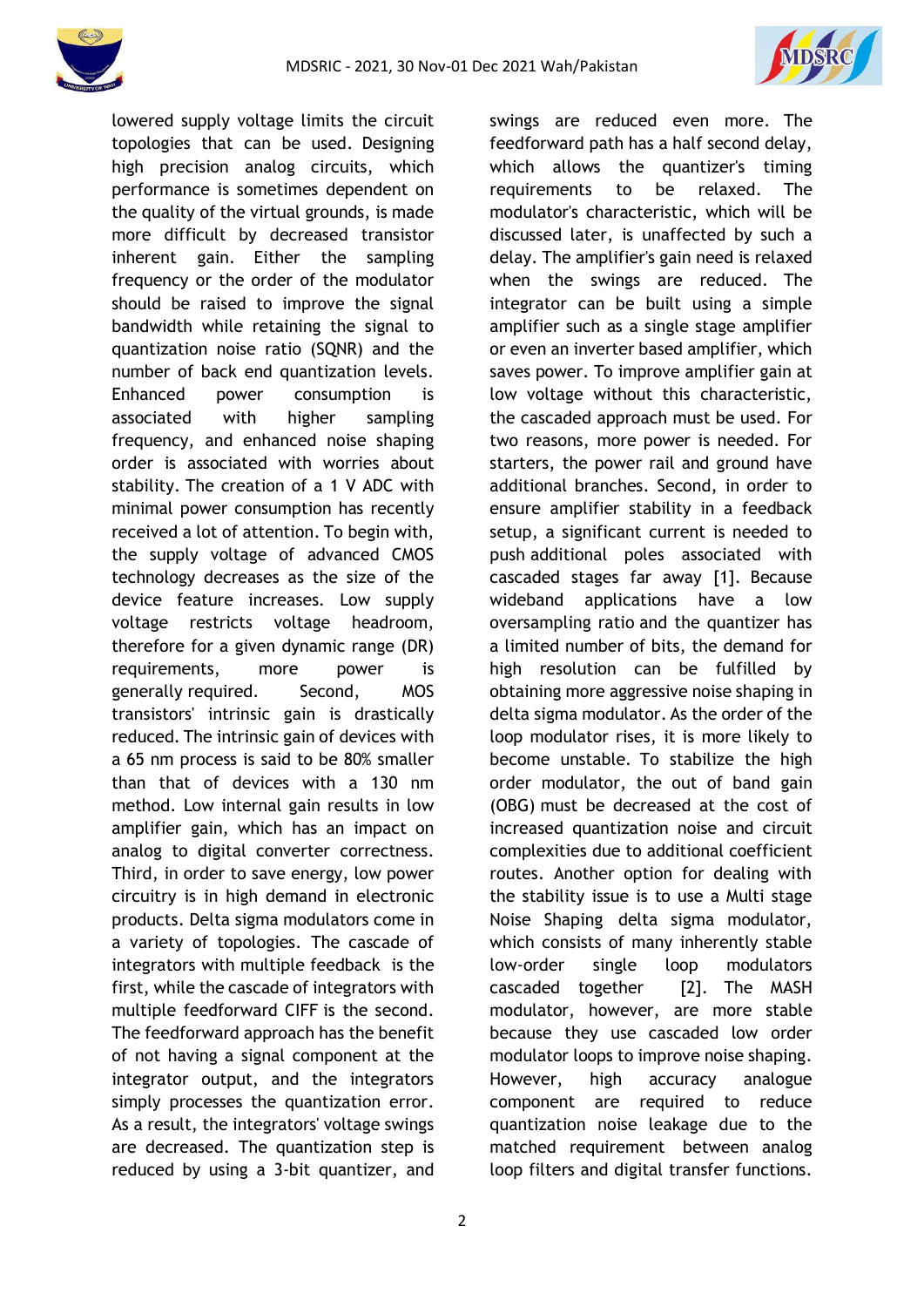



lowered supply voltage limits the circuit topologies that can be used. Designing high precision analog circuits, which performance is sometimes dependent on the quality of the virtual grounds, is made more difficult by decreased transistor inherent gain. Either the sampling frequency or the order of the modulator should be raised to improve the signal bandwidth while retaining the signal to quantization noise ratio (SQNR) and the number of back end quantization levels. Enhanced power consumption is associated with higher sampling frequency, and enhanced noise shaping order is associated with worries about stability. The creation of a 1 V ADC with minimal power consumption has recently received a lot of attention. To begin with, the supply voltage of advanced CMOS technology decreases as the size of the device feature increases. Low supply voltage restricts voltage headroom, therefore for a given dynamic range (DR) requirements, more power is generally required. Second, MOS transistors' intrinsic gain is drastically reduced. The intrinsic gain of devices with a 65 nm process is said to be 80% smaller than that of devices with a 130 nm method. Low internal gain results in low amplifier gain, which has an impact on analog to digital converter correctness. Third, in order to save energy, low power circuitry is in high demand in electronic products. Delta sigma modulators come in a variety of topologies. The cascade of integrators with multiple feedback is the first, while the cascade of integrators with multiple feedforward CIFF is the second. The feedforward approach has the benefit of not having a signal component at the integrator output, and the integrators simply processes the quantization error. As a result, the integrators' voltage swings are decreased. The quantization step is reduced by using a 3-bit quantizer, and swings are reduced even more. The feedforward path has a half second delay, which allows the quantizer's timing requirements to be relaxed. The modulator's characteristic, which will be discussed later, is unaffected by such a delay. The amplifier's gain need is relaxed when the swings are reduced. The integrator can be built using a simple amplifier such as a single stage amplifier or even an inverter based amplifier, which saves power. To improve amplifier gain at low voltage without this characteristic, the cascaded approach must be used. For two reasons, more power is needed. For starters, the power rail and ground have additional branches. Second, in order to ensure amplifier stability in a feedback setup, a significant current is needed to push additional poles associated with cascaded stages far away [1]. Because wideband applications have a low oversampling ratio and the quantizer has a limited number of bits, the demand for high resolution can be fulfilled by obtaining more aggressive noise shaping in delta sigma modulator. As the order of the loop modulator rises, it is more likely to become unstable. To stabilize the high order modulator, the out of band gain (OBG) must be decreased at the cost of increased quantization noise and circuit complexities due to additional coefficient routes. Another option for dealing with the stability issue is to use a Multi stage Noise Shaping delta sigma modulator, which consists of many inherently stable low-order single loop modulators cascaded together [2]. The MASH modulator, however, are more stable because they use cascaded low order modulator loops to improve noise shaping. However, high accuracy analogue component are required to reduce quantization noise leakage due to the matched requirement between analog loop filters and digital transfer functions.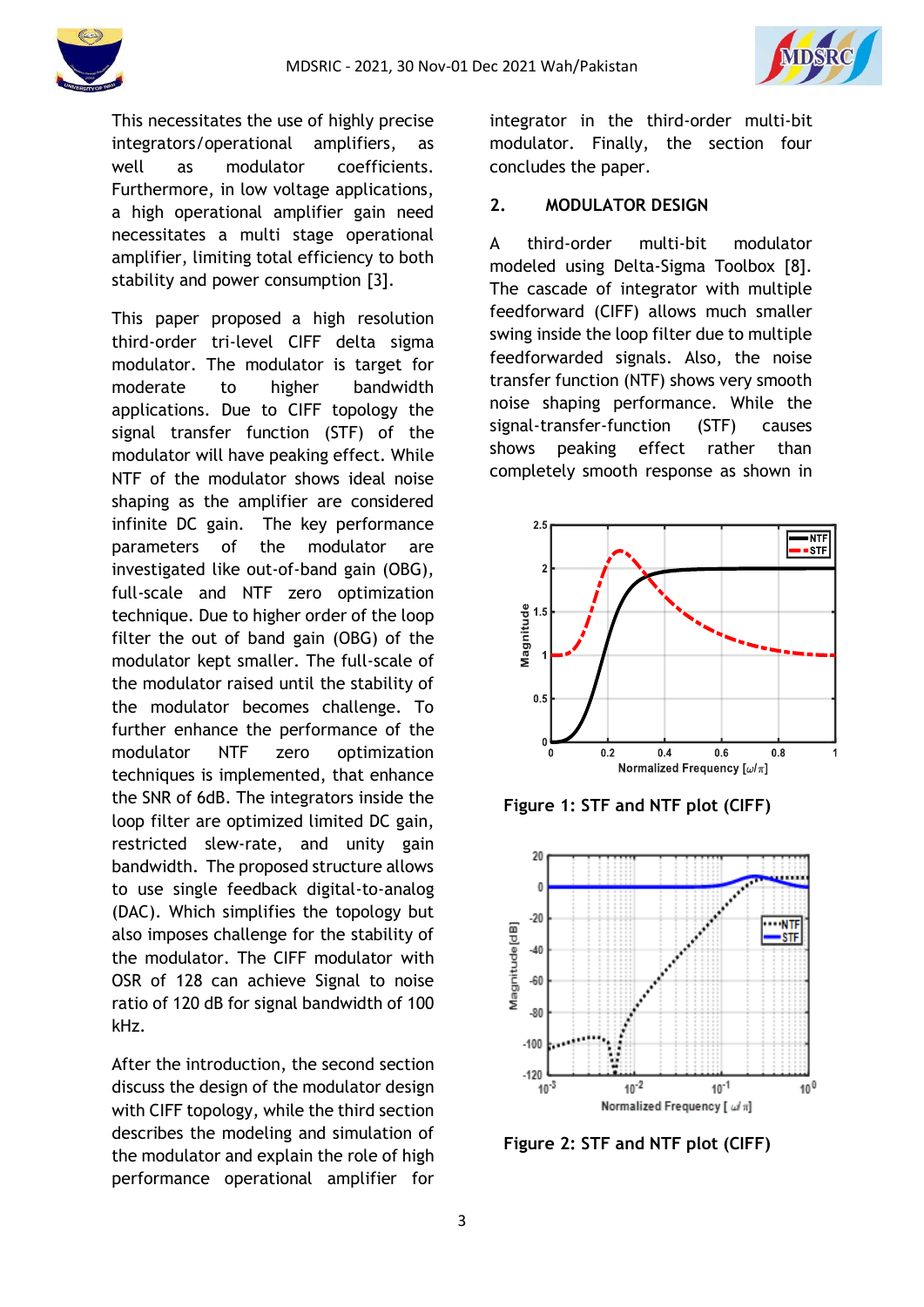

This necessitates the use of highly precise integrators/operational amplifiers, as well as modulator coefficients. Furthermore, in low voltage applications, a high operational amplifier gain need necessitates a multi stage operational amplifier, limiting total efficiency to both stability and power consumption [3].

This paper proposed a high resolution third-order tri-level CIFF delta sigma modulator. The modulator is target for moderate to higher bandwidth applications. Due to CIFF topology the signal transfer function (STF) of the modulator will have peaking effect. While NTF of the modulator shows ideal noise shaping as the amplifier are considered infinite DC gain. The key performance parameters of the modulator are investigated like out-of-band gain (OBG), full-scale and NTF zero optimization technique. Due to higher order of the loop filter the out of band gain (OBG) of the modulator kept smaller. The full-scale of the modulator raised until the stability of the modulator becomes challenge. To further enhance the performance of the modulator NTF zero optimization techniques is implemented, that enhance the SNR of 6dB. The integrators inside the loop filter are optimized limited DC gain, restricted slew-rate, and unity gain bandwidth. The proposed structure allows to use single feedback digital-to-analog (DAC). Which simplifies the topology but also imposes challenge for the stability of the modulator. The CIFF modulator with OSR of 128 can achieve Signal to noise ratio of 120 dB for signal bandwidth of 100 kHz.

After the introduction, the second section discuss the design of the modulator design with CIFF topology, while the third section describes the modeling and simulation of the modulator and explain the role of high performance operational amplifier for

integrator in the third-order multi-bit modulator. Finally, the section four concludes the paper.

#### **2. MODULATOR DESIGN**

A third-order multi-bit modulator modeled using Delta-Sigma Toolbox [8]. The cascade of integrator with multiple feedforward (CIFF) allows much smaller swing inside the loop filter due to multiple feedforwarded signals. Also, the noise transfer function (NTF) shows very smooth noise shaping performance. While the signal-transfer-function (STF) causes shows peaking effect rather than completely smooth response as shown in



**Figure 1: STF and NTF plot (CIFF)**



**Figure 2: STF and NTF plot (CIFF)**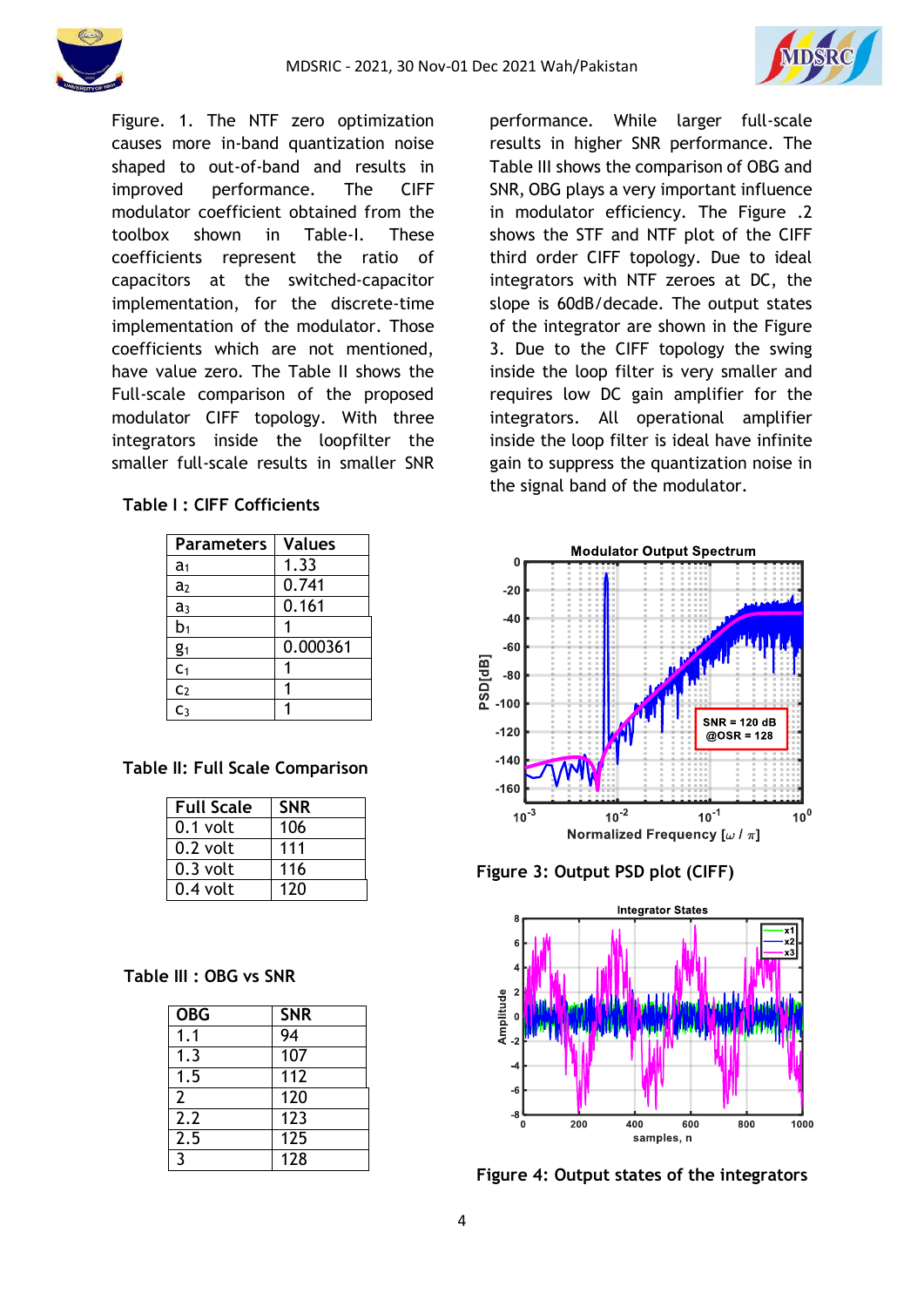

Figure. 1. The NTF zero optimization causes more in-band quantization noise shaped to out-of-band and results in improved performance. The CIFF modulator coefficient obtained from the toolbox shown in Table-I. These coefficients represent the ratio of capacitors at the switched-capacitor implementation, for the discrete-time implementation of the modulator. Those coefficients which are not mentioned, have value zero. The Table II shows the Full-scale comparison of the proposed modulator CIFF topology. With three integrators inside the loopfilter the smaller full-scale results in smaller SNR

### **Table I : CIFF Cofficients**

| <b>Parameters</b> | <b>Values</b> |
|-------------------|---------------|
| a <sub>1</sub>    | 1.33          |
| a <sub>2</sub>    | 0.741         |
| a <sub>3</sub>    | 0.161         |
| b <sub>1</sub>    |               |
| g <sub>1</sub>    | 0.000361      |
| C <sub>1</sub>    |               |
| C <sub>2</sub>    |               |
| C٩                |               |

# **Table II: Full Scale Comparison**

| <b>Full Scale</b> | <b>SNR</b> |
|-------------------|------------|
| $0.1$ volt        | 106        |
| $0.2$ volt        | 111        |
| $0.3$ volt        | 116        |
| $0.4$ volt        | 120        |

### **Table III : OBG vs SNR**

| <b>OBG</b>     | <b>SNR</b> |
|----------------|------------|
| 1.1            | 94         |
| 1.3            | 107        |
| 1.5            | 112        |
| $\overline{2}$ | 120        |
| 2.2            | 123        |
| 2.5            | 125        |
| 3              | 128        |

performance. While larger full-scale results in higher SNR performance. The Table III shows the comparison of OBG and SNR, OBG plays a very important influence in modulator efficiency. The Figure .2 shows the STF and NTF plot of the CIFF third order CIFF topology. Due to ideal integrators with NTF zeroes at DC, the slope is 60dB/decade. The output states of the integrator are shown in the Figure 3. Due to the CIFF topology the swing inside the loop filter is very smaller and requires low DC gain amplifier for the integrators. All operational amplifier inside the loop filter is ideal have infinite gain to suppress the quantization noise in the signal band of the modulator.



**Figure 3: Output PSD plot (CIFF)**



**Figure 4: Output states of the integrators**